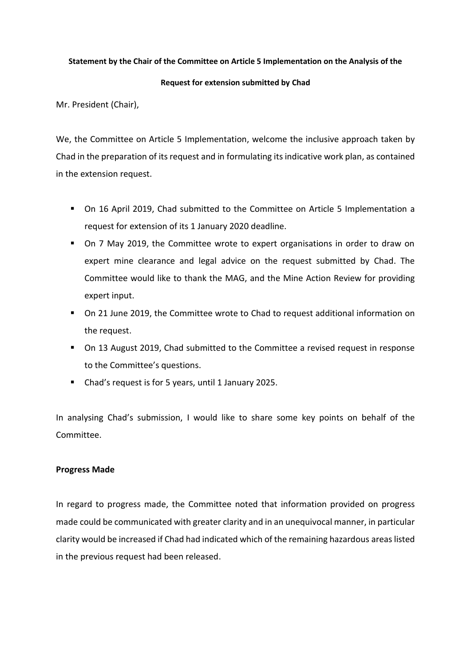## **Statement by the Chair of the Committee on Article 5 Implementation on the Analysis of the**

### **Request for extension submitted by Chad**

Mr. President (Chair),

We, the Committee on Article 5 Implementation, welcome the inclusive approach taken by Chad in the preparation of its request and in formulating its indicative work plan, as contained in the extension request.

- On 16 April 2019, Chad submitted to the Committee on Article 5 Implementation a request for extension of its 1 January 2020 deadline.
- On 7 May 2019, the Committee wrote to expert organisations in order to draw on expert mine clearance and legal advice on the request submitted by Chad. The Committee would like to thank the MAG, and the Mine Action Review for providing expert input.
- On 21 June 2019, the Committee wrote to Chad to request additional information on the request.
- On 13 August 2019, Chad submitted to the Committee a revised request in response to the Committee's questions.
- Chad's request is for 5 years, until 1 January 2025.

In analysing Chad's submission, I would like to share some key points on behalf of the Committee.

# **Progress Made**

In regard to progress made, the Committee noted that information provided on progress made could be communicated with greater clarity and in an unequivocal manner, in particular clarity would be increased if Chad had indicated which of the remaining hazardous areas listed in the previous request had been released.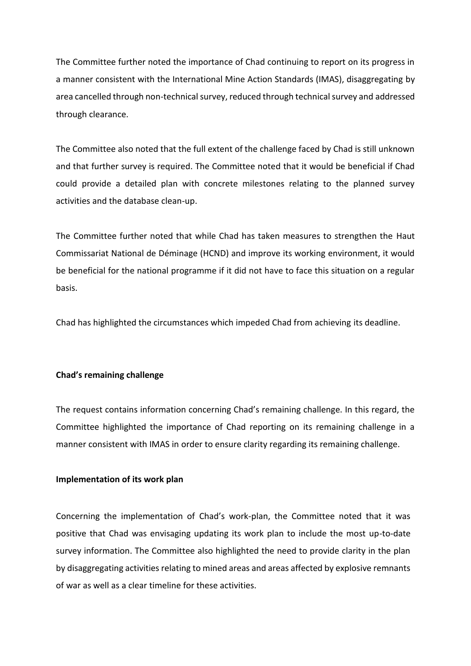The Committee further noted the importance of Chad continuing to report on its progress in a manner consistent with the International Mine Action Standards (IMAS), disaggregating by area cancelled through non-technical survey, reduced through technical survey and addressed through clearance.

The Committee also noted that the full extent of the challenge faced by Chad is still unknown and that further survey is required. The Committee noted that it would be beneficial if Chad could provide a detailed plan with concrete milestones relating to the planned survey activities and the database clean-up.

The Committee further noted that while Chad has taken measures to strengthen the Haut Commissariat National de Déminage (HCND) and improve its working environment, it would be beneficial for the national programme if it did not have to face this situation on a regular basis.

Chad has highlighted the circumstances which impeded Chad from achieving its deadline.

# **Chad's remaining challenge**

The request contains information concerning Chad's remaining challenge. In this regard, the Committee highlighted the importance of Chad reporting on its remaining challenge in a manner consistent with IMAS in order to ensure clarity regarding its remaining challenge.

# **Implementation of its work plan**

Concerning the implementation of Chad's work-plan, the Committee noted that it was positive that Chad was envisaging updating its work plan to include the most up-to-date survey information. The Committee also highlighted the need to provide clarity in the plan by disaggregating activities relating to mined areas and areas affected by explosive remnants of war as well as a clear timeline for these activities.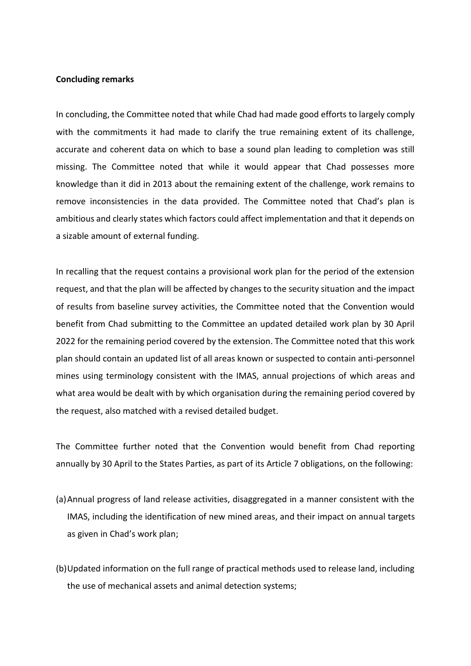#### **Concluding remarks**

In concluding, the Committee noted that while Chad had made good efforts to largely comply with the commitments it had made to clarify the true remaining extent of its challenge, accurate and coherent data on which to base a sound plan leading to completion was still missing. The Committee noted that while it would appear that Chad possesses more knowledge than it did in 2013 about the remaining extent of the challenge, work remains to remove inconsistencies in the data provided. The Committee noted that Chad's plan is ambitious and clearly states which factors could affect implementation and that it depends on a sizable amount of external funding.

In recalling that the request contains a provisional work plan for the period of the extension request, and that the plan will be affected by changes to the security situation and the impact of results from baseline survey activities, the Committee noted that the Convention would benefit from Chad submitting to the Committee an updated detailed work plan by 30 April 2022 for the remaining period covered by the extension. The Committee noted that this work plan should contain an updated list of all areas known or suspected to contain anti-personnel mines using terminology consistent with the IMAS, annual projections of which areas and what area would be dealt with by which organisation during the remaining period covered by the request, also matched with a revised detailed budget.

The Committee further noted that the Convention would benefit from Chad reporting annually by 30 April to the States Parties, as part of its Article 7 obligations, on the following:

- (a)Annual progress of land release activities, disaggregated in a manner consistent with the IMAS, including the identification of new mined areas, and their impact on annual targets as given in Chad's work plan;
- (b)Updated information on the full range of practical methods used to release land, including the use of mechanical assets and animal detection systems;